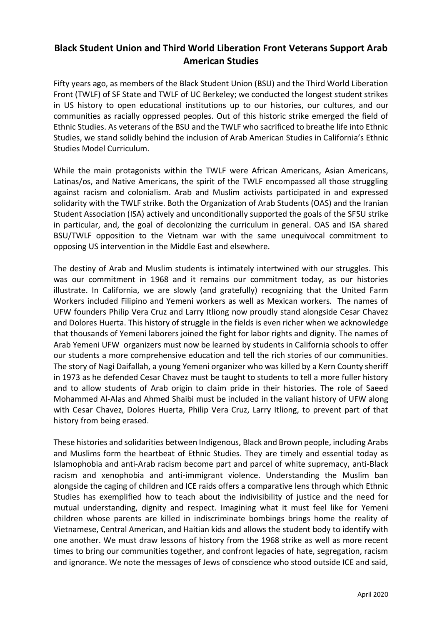## **Black Student Union and Third World Liberation Front Veterans Support Arab American Studies**

Fifty years ago, as members of the Black Student Union (BSU) and the Third World Liberation Front (TWLF) of SF State and TWLF of UC Berkeley; we conducted the longest student strikes in US history to open educational institutions up to our histories, our cultures, and our communities as racially oppressed peoples. Out of this historic strike emerged the field of Ethnic Studies. As veterans of the BSU and the TWLF who sacrificed to breathe life into Ethnic Studies, we stand solidly behind the inclusion of Arab American Studies in California's Ethnic Studies Model Curriculum.

While the main protagonists within the TWLF were African Americans, Asian Americans, Latinas/os, and Native Americans, the spirit of the TWLF encompassed all those struggling against racism and colonialism. Arab and Muslim activists participated in and expressed solidarity with the TWLF strike. Both the Organization of Arab Students (OAS) and the Iranian Student Association (ISA) actively and unconditionally supported the goals of the SFSU strike in particular, and, the goal of decolonizing the curriculum in general. OAS and ISA shared BSU/TWLF opposition to the Vietnam war with the same unequivocal commitment to opposing US intervention in the Middle East and elsewhere.

The destiny of Arab and Muslim students is intimately intertwined with our struggles. This was our commitment in 1968 and it remains our commitment today, as our histories illustrate. In California, we are slowly (and gratefully) recognizing that the United Farm Workers included Filipino and Yemeni workers as well as Mexican workers. The names of UFW founders Philip Vera Cruz and Larry Itliong now proudly stand alongside Cesar Chavez and Dolores Huerta. This history of struggle in the fields is even richer when we acknowledge that thousands of Yemeni laborers joined the fight for labor rights and dignity. The names of Arab Yemeni UFW organizers must now be learned by students in California schools to offer our students a more comprehensive education and tell the rich stories of our communities. The story of Nagi Daifallah, a young Yemeni organizer who was killed by a Kern County sheriff in 1973 as he defended Cesar Chavez must be taught to students to tell a more fuller history and to allow students of Arab origin to claim pride in their histories. The role of Saeed Mohammed Al-Alas and Ahmed Shaibi must be included in the valiant history of UFW along with Cesar Chavez, Dolores Huerta, Philip Vera Cruz, Larry Itliong, to prevent part of that history from being erased.

These histories and solidarities between Indigenous, Black and Brown people, including Arabs and Muslims form the heartbeat of Ethnic Studies. They are timely and essential today as Islamophobia and anti-Arab racism become part and parcel of white supremacy, anti-Black racism and xenophobia and anti-immigrant violence. Understanding the Muslim ban alongside the caging of children and ICE raids offers a comparative lens through which Ethnic Studies has exemplified how to teach about the indivisibility of justice and the need for mutual understanding, dignity and respect. Imagining what it must feel like for Yemeni children whose parents are killed in indiscriminate bombings brings home the reality of Vietnamese, Central American, and Haitian kids and allows the student body to identify with one another. We must draw lessons of history from the 1968 strike as well as more recent times to bring our communities together, and confront legacies of hate, segregation, racism and ignorance. We note the messages of Jews of conscience who stood outside ICE and said,